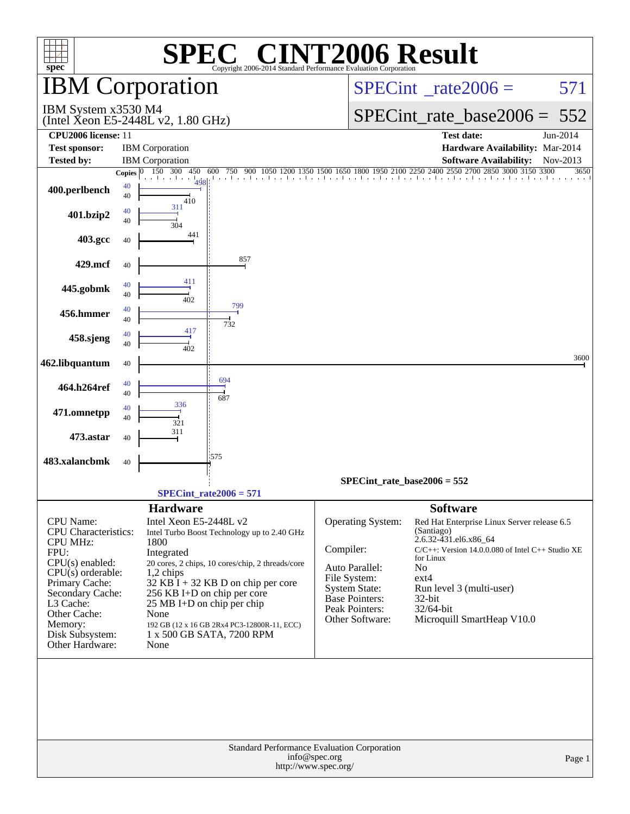| <b>C® CINT2006 Result</b><br><b>SPE</b><br>$spec^*$<br>Copyright 2006-2014 Standard Performance Evaluation Corporation |              |                                                                       |                                       |                                          |                                                                                             |          |  |  |  |  |
|------------------------------------------------------------------------------------------------------------------------|--------------|-----------------------------------------------------------------------|---------------------------------------|------------------------------------------|---------------------------------------------------------------------------------------------|----------|--|--|--|--|
|                                                                                                                        |              | <b>IBM</b> Corporation                                                |                                       | $SPECint^{\circ}$ <sub>_rate2006</sub> = | 571                                                                                         |          |  |  |  |  |
| IBM System x3530 M4                                                                                                    |              | (Intel Xeon E5-2448L v2, $1.80$ GHz)                                  |                                       |                                          | SPECint rate base $2006 = 552$                                                              |          |  |  |  |  |
| CPU2006 license: 11<br><b>Test sponsor:</b>                                                                            |              | <b>IBM</b> Corporation                                                |                                       |                                          | <b>Test date:</b><br>Hardware Availability: Mar-2014                                        | Jun-2014 |  |  |  |  |
| <b>Tested by:</b>                                                                                                      |              | <b>IBM</b> Corporation                                                |                                       |                                          | <b>Software Availability:</b>                                                               | Nov-2013 |  |  |  |  |
|                                                                                                                        | Copies $ 0 $ | 150 300 450<br>600                                                    |                                       |                                          | 500 750 900 1050 1200 1350 1500 1650 1800 1950 2100 2250 2400 2550 2700 2850 3000 3150 3300 | 3650     |  |  |  |  |
| 400.perlbench                                                                                                          | 40<br>40     | $\frac{1}{2}$ 1<br>410                                                |                                       |                                          |                                                                                             |          |  |  |  |  |
| 401.bzip2                                                                                                              | 40<br>40     | 311<br>304                                                            |                                       |                                          |                                                                                             |          |  |  |  |  |
| 403.gcc                                                                                                                | 40           | 441                                                                   |                                       |                                          |                                                                                             |          |  |  |  |  |
| 429.mcf                                                                                                                | 40           | 857<br>411                                                            |                                       |                                          |                                                                                             |          |  |  |  |  |
| 445.gobmk                                                                                                              | 40<br>40     | 402<br>799                                                            |                                       |                                          |                                                                                             |          |  |  |  |  |
| 456.hmmer                                                                                                              | 40<br>40     | 732<br>417                                                            |                                       |                                          |                                                                                             |          |  |  |  |  |
| 458.sjeng                                                                                                              | 40<br>40     | 402                                                                   |                                       |                                          |                                                                                             | 3600     |  |  |  |  |
| 462.libquantum                                                                                                         | 40           |                                                                       |                                       |                                          |                                                                                             |          |  |  |  |  |
| 464.h264ref                                                                                                            | 40<br>40     | 694<br>687                                                            |                                       |                                          |                                                                                             |          |  |  |  |  |
| 471.omnetpp                                                                                                            | 40<br>40     | 336<br>321                                                            |                                       |                                          |                                                                                             |          |  |  |  |  |
| 473.astar                                                                                                              | 40           | 311<br>1575                                                           |                                       |                                          |                                                                                             |          |  |  |  |  |
| 483.xalancbmk                                                                                                          | 40           |                                                                       |                                       | $SPECint_rate_base2006 = 552$            |                                                                                             |          |  |  |  |  |
|                                                                                                                        |              | $SPECint_rate2006 = 571$                                              |                                       |                                          |                                                                                             |          |  |  |  |  |
|                                                                                                                        |              | <b>Hardware</b>                                                       |                                       |                                          | <b>Software</b>                                                                             |          |  |  |  |  |
| CPU Name:<br><b>CPU</b> Characteristics:                                                                               |              | Intel Xeon E5-2448L v2<br>Intel Turbo Boost Technology up to 2.40 GHz |                                       | Operating System:                        | Red Hat Enterprise Linux Server release 6.5<br>(Santiago)                                   |          |  |  |  |  |
| <b>CPU MHz:</b><br>FPU:                                                                                                |              | 1800                                                                  | Compiler:                             |                                          | 2.6.32-431.el6.x86_64<br>C/C++: Version 14.0.0.080 of Intel C++ Studio XE                   |          |  |  |  |  |
| $CPU(s)$ enabled:                                                                                                      |              | Integrated<br>20 cores, 2 chips, 10 cores/chip, 2 threads/core        |                                       |                                          | for Linux                                                                                   |          |  |  |  |  |
| $CPU(s)$ orderable:                                                                                                    |              | $1,2$ chips                                                           |                                       | Auto Parallel:                           | No                                                                                          |          |  |  |  |  |
| Primary Cache:                                                                                                         |              | $32$ KB I + 32 KB D on chip per core                                  |                                       | File System:<br>System State:            | $ext{4}$<br>Run level 3 (multi-user)                                                        |          |  |  |  |  |
| Secondary Cache:<br>L3 Cache:                                                                                          |              | 256 KB I+D on chip per core<br>$25 \text{ MB I+D}$ on chip per chip   |                                       | <b>Base Pointers:</b>                    | $32$ -bit                                                                                   |          |  |  |  |  |
| Other Cache:                                                                                                           |              | None                                                                  |                                       | Peak Pointers:                           | 32/64-bit                                                                                   |          |  |  |  |  |
| Memory:                                                                                                                |              | 192 GB (12 x 16 GB 2Rx4 PC3-12800R-11, ECC)                           |                                       | Other Software:                          | Microquill SmartHeap V10.0                                                                  |          |  |  |  |  |
| Disk Subsystem:<br>Other Hardware:                                                                                     |              | 1 x 500 GB SATA, 7200 RPM<br>None                                     |                                       |                                          |                                                                                             |          |  |  |  |  |
|                                                                                                                        |              | Standard Performance Evaluation Corporation                           |                                       |                                          |                                                                                             |          |  |  |  |  |
|                                                                                                                        |              |                                                                       | info@spec.org<br>http://www.spec.org/ |                                          |                                                                                             | Page 1   |  |  |  |  |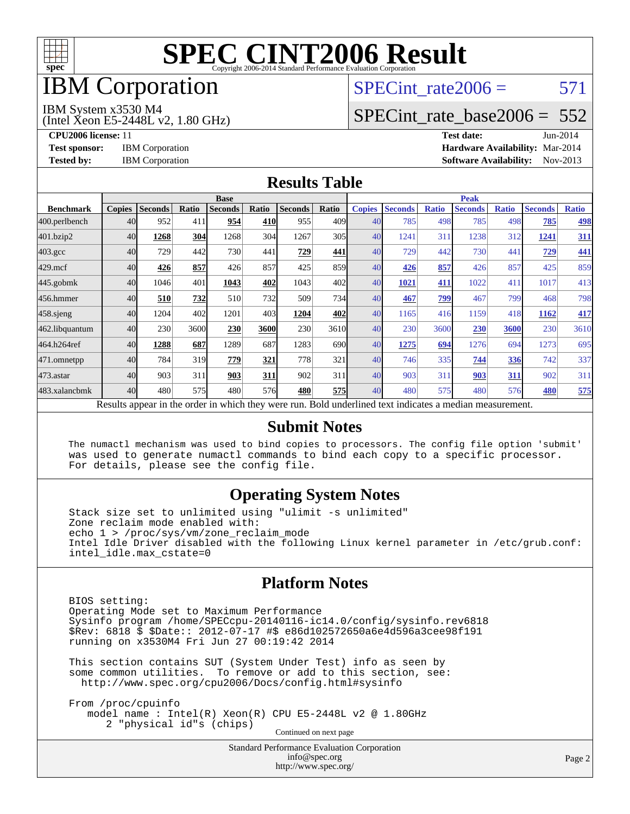

# **IBM** Corporation

# SPECint rate $2006 = 571$

#### IBM System x3530 M4

(Intel Xeon E5-2448L v2, 1.80 GHz)

[SPECint\\_rate\\_base2006 =](http://www.spec.org/auto/cpu2006/Docs/result-fields.html#SPECintratebase2006) 552

**[CPU2006 license:](http://www.spec.org/auto/cpu2006/Docs/result-fields.html#CPU2006license)** 11 **[Test date:](http://www.spec.org/auto/cpu2006/Docs/result-fields.html#Testdate)** Jun-2014 **[Test sponsor:](http://www.spec.org/auto/cpu2006/Docs/result-fields.html#Testsponsor)** IBM Corporation **[Hardware Availability:](http://www.spec.org/auto/cpu2006/Docs/result-fields.html#HardwareAvailability)** Mar-2014 **[Tested by:](http://www.spec.org/auto/cpu2006/Docs/result-fields.html#Testedby)** IBM Corporation **[Software Availability:](http://www.spec.org/auto/cpu2006/Docs/result-fields.html#SoftwareAvailability)** Nov-2013

#### **[Results Table](http://www.spec.org/auto/cpu2006/Docs/result-fields.html#ResultsTable)**

|                                                                                                          | <b>Base</b>   |                |              |                |       |                |       | <b>Peak</b>   |                |              |                |              |                |              |
|----------------------------------------------------------------------------------------------------------|---------------|----------------|--------------|----------------|-------|----------------|-------|---------------|----------------|--------------|----------------|--------------|----------------|--------------|
| <b>Benchmark</b>                                                                                         | <b>Copies</b> | <b>Seconds</b> | <b>Ratio</b> | <b>Seconds</b> | Ratio | <b>Seconds</b> | Ratio | <b>Copies</b> | <b>Seconds</b> | <b>Ratio</b> | <b>Seconds</b> | <b>Ratio</b> | <b>Seconds</b> | <b>Ratio</b> |
| 400.perlbench                                                                                            | 40            | 952            | 411          | 954            | 410   | 955            | 409   | 40            | 785            | 498          | 785            | 498          | 785            | <u>498</u>   |
| 401.bzip2                                                                                                | 40            | 1268           | 304          | 1268           | 304   | 1267           | 305   | 40            | 1241           | 311          | 1238           | 312          | 1241           | 311          |
| $403.\mathrm{gcc}$                                                                                       | 40            | 729            | 442          | 730            | 441   | 729            | 441   | 40            | 729            | 442          | 730            | 441          | 729            | 441          |
| $429$ .mcf                                                                                               | 40            | 426            | 857          | 426            | 857   | 425            | 859   | 40            | 426            | 857          | 426            | 857          | 425            | 859          |
| $445$ .gobmk                                                                                             | 40            | 1046           | 401          | 1043           | 402   | 1043           | 402l  | 40            | 1021           | 411          | 1022           | 411          | 1017           | 413          |
| 456.hmmer                                                                                                | 40            | 510            | 732          | 510            | 732   | 509            | 734   | 40            | 467            | 799          | 467            | 799          | 468            | 798          |
| $458$ .sjeng                                                                                             | 40            | 1204           | 402          | 1201           | 403   | 1204           | 402   | 40            | 1165           | 416          | 1159           | 418          | 1162           | 417          |
| 462.libquantum                                                                                           | 40            | 230            | 3600         | 230            | 3600  | 230            | 3610  | 40            | 230            | 3600         | 230            | 3600         | 230            | 3610         |
| 464.h264ref                                                                                              | 40            | 1288           | 687          | 1289           | 687   | 1283           | 690l  | 40            | 1275           | 694          | 1276           | 694          | 1273           | 695          |
| 471.omnetpp                                                                                              | 40            | 784            | 319          | 779            | 321   | 778            | 321   | 40            | 746            | 335          | 744            | 336          | 742            | 337          |
| $473$ . astar                                                                                            | 40            | 903            | 311          | 903            | 311   | 902            | 311   | 40            | 903            | 311          | 903            | 311          | 902            | 311          |
| 483.xalancbmk                                                                                            | 40            | 480            | 575          | 480            | 576   | 480            | 575   | 40            | 480            | 575          | 480            | 576          | 480            | 575          |
| Results appear in the order in which they were run. Bold underlined text indicates a median measurement. |               |                |              |                |       |                |       |               |                |              |                |              |                |              |

#### **[Submit Notes](http://www.spec.org/auto/cpu2006/Docs/result-fields.html#SubmitNotes)**

 The numactl mechanism was used to bind copies to processors. The config file option 'submit' was used to generate numactl commands to bind each copy to a specific processor. For details, please see the config file.

#### **[Operating System Notes](http://www.spec.org/auto/cpu2006/Docs/result-fields.html#OperatingSystemNotes)**

 Stack size set to unlimited using "ulimit -s unlimited" Zone reclaim mode enabled with: echo 1 > /proc/sys/vm/zone\_reclaim\_mode Intel Idle Driver disabled with the following Linux kernel parameter in /etc/grub.conf: intel\_idle.max\_cstate=0

#### **[Platform Notes](http://www.spec.org/auto/cpu2006/Docs/result-fields.html#PlatformNotes)**

 BIOS setting: Operating Mode set to Maximum Performance Sysinfo program /home/SPECcpu-20140116-ic14.0/config/sysinfo.rev6818 \$Rev: 6818 \$ \$Date:: 2012-07-17 #\$ e86d102572650a6e4d596a3cee98f191 running on x3530M4 Fri Jun 27 00:19:42 2014

 This section contains SUT (System Under Test) info as seen by some common utilities. To remove or add to this section, see: <http://www.spec.org/cpu2006/Docs/config.html#sysinfo>

 From /proc/cpuinfo model name : Intel(R) Xeon(R) CPU E5-2448L v2 @ 1.80GHz 2 "physical id"s (chips) Continued on next page

> Standard Performance Evaluation Corporation [info@spec.org](mailto:info@spec.org) <http://www.spec.org/>

Page 2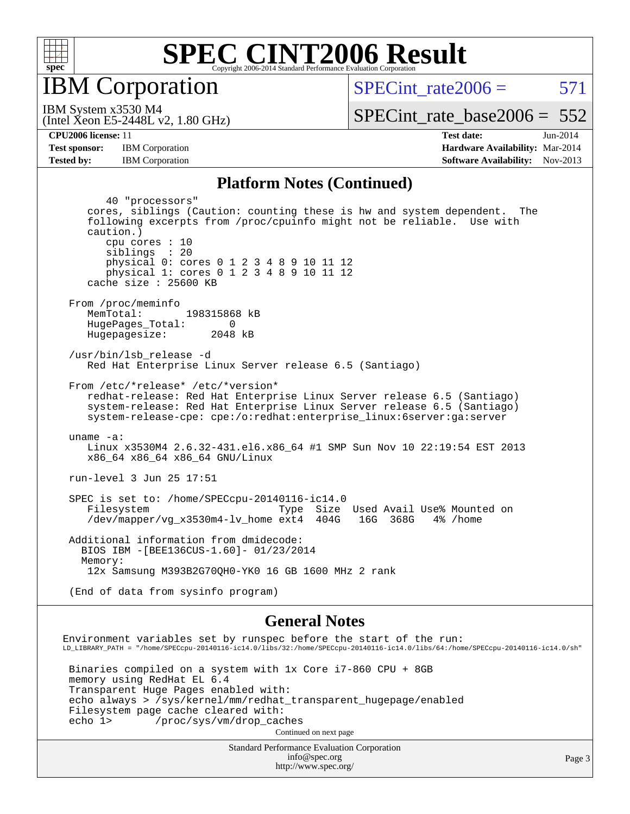

IBM Corporation

SPECint rate $2006 = 571$ 

(Intel Xeon E5-2448L v2, 1.80 GHz) IBM System x3530 M4

[SPECint\\_rate\\_base2006 =](http://www.spec.org/auto/cpu2006/Docs/result-fields.html#SPECintratebase2006)  $552$ 

**[CPU2006 license:](http://www.spec.org/auto/cpu2006/Docs/result-fields.html#CPU2006license)** 11 **[Test date:](http://www.spec.org/auto/cpu2006/Docs/result-fields.html#Testdate)** Jun-2014 **[Test sponsor:](http://www.spec.org/auto/cpu2006/Docs/result-fields.html#Testsponsor)** IBM Corporation **[Hardware Availability:](http://www.spec.org/auto/cpu2006/Docs/result-fields.html#HardwareAvailability)** Mar-2014 **[Tested by:](http://www.spec.org/auto/cpu2006/Docs/result-fields.html#Testedby)** IBM Corporation **[Software Availability:](http://www.spec.org/auto/cpu2006/Docs/result-fields.html#SoftwareAvailability)** Nov-2013

#### **[Platform Notes \(Continued\)](http://www.spec.org/auto/cpu2006/Docs/result-fields.html#PlatformNotes)**

 40 "processors" cores, siblings (Caution: counting these is hw and system dependent. The following excerpts from /proc/cpuinfo might not be reliable. Use with caution.) cpu cores : 10 siblings : 20 physical 0: cores 0 1 2 3 4 8 9 10 11 12 physical 1: cores 0 1 2 3 4 8 9 10 11 12 cache size : 25600 KB From /proc/meminfo MemTotal: 198315868 kB HugePages\_Total: 0<br>Hugepagesize: 2048 kB Hugepagesize: /usr/bin/lsb\_release -d Red Hat Enterprise Linux Server release 6.5 (Santiago) From /etc/\*release\* /etc/\*version\* redhat-release: Red Hat Enterprise Linux Server release 6.5 (Santiago) system-release: Red Hat Enterprise Linux Server release 6.5 (Santiago) system-release-cpe: cpe:/o:redhat:enterprise\_linux:6server:ga:server uname -a: Linux x3530M4 2.6.32-431.el6.x86\_64 #1 SMP Sun Nov 10 22:19:54 EST 2013 x86\_64 x86\_64 x86\_64 GNU/Linux run-level 3 Jun 25 17:51 SPEC is set to: /home/SPECcpu-20140116-ic14.0 Filesystem Type Size Used Avail Use% Mounted on<br>
/dev/mapper/vg\_x3530m4-lv\_home ext4 404G 16G 368G 4% /home  $/$ dev/mapper/vg\_x3530m4-lv\_home ext4 Additional information from dmidecode: BIOS IBM -[BEE136CUS-1.60]- 01/23/2014 Memory: 12x Samsung M393B2G70QH0-YK0 16 GB 1600 MHz 2 rank (End of data from sysinfo program)

#### **[General Notes](http://www.spec.org/auto/cpu2006/Docs/result-fields.html#GeneralNotes)**

Standard Performance Evaluation Corporation Environment variables set by runspec before the start of the run: LD\_LIBRARY\_PATH = "/home/SPECcpu-20140116-ic14.0/libs/32:/home/SPECcpu-20140116-ic14.0/libs/64:/home/SPECcpu-20140116-ic14.0/sh" Binaries compiled on a system with 1x Core i7-860 CPU + 8GB memory using RedHat EL 6.4 Transparent Huge Pages enabled with: echo always > /sys/kernel/mm/redhat\_transparent\_hugepage/enabled Filesystem page cache cleared with: echo 1> /proc/sys/vm/drop\_caches Continued on next page

[info@spec.org](mailto:info@spec.org) <http://www.spec.org/>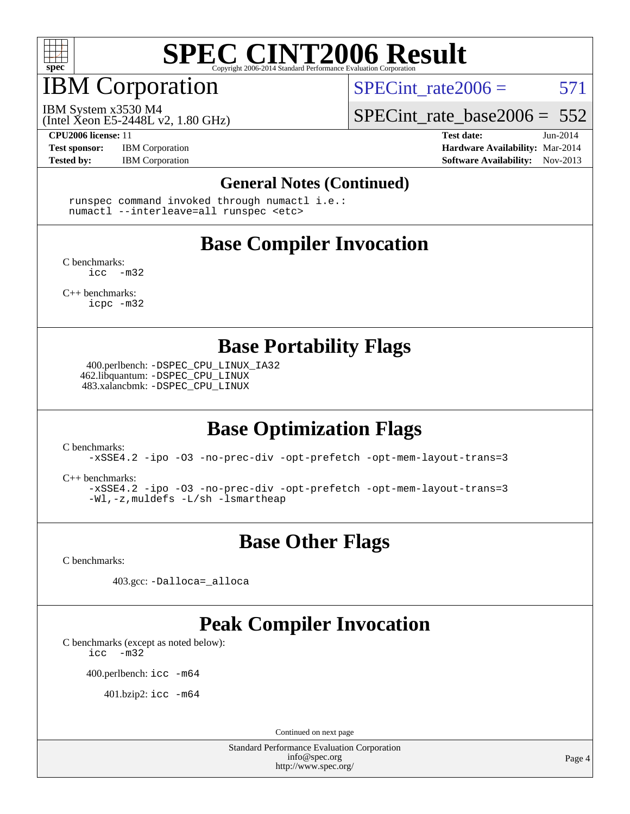

# IBM Corporation

SPECint rate $2006 = 571$ 

(Intel Xeon E5-2448L v2, 1.80 GHz) IBM System x3530 M4

[SPECint\\_rate\\_base2006 =](http://www.spec.org/auto/cpu2006/Docs/result-fields.html#SPECintratebase2006) 552

**[Test sponsor:](http://www.spec.org/auto/cpu2006/Docs/result-fields.html#Testsponsor)** IBM Corporation **[Hardware Availability:](http://www.spec.org/auto/cpu2006/Docs/result-fields.html#HardwareAvailability)** Mar-2014

**[CPU2006 license:](http://www.spec.org/auto/cpu2006/Docs/result-fields.html#CPU2006license)** 11 **[Test date:](http://www.spec.org/auto/cpu2006/Docs/result-fields.html#Testdate)** Jun-2014 **[Tested by:](http://www.spec.org/auto/cpu2006/Docs/result-fields.html#Testedby)** IBM Corporation **IBM** Corporation **[Software Availability:](http://www.spec.org/auto/cpu2006/Docs/result-fields.html#SoftwareAvailability)** Nov-2013

#### **[General Notes \(Continued\)](http://www.spec.org/auto/cpu2006/Docs/result-fields.html#GeneralNotes)**

 runspec command invoked through numactl i.e.: numactl --interleave=all runspec <etc>

### **[Base Compiler Invocation](http://www.spec.org/auto/cpu2006/Docs/result-fields.html#BaseCompilerInvocation)**

[C benchmarks](http://www.spec.org/auto/cpu2006/Docs/result-fields.html#Cbenchmarks):  $inc -m32$ 

[C++ benchmarks:](http://www.spec.org/auto/cpu2006/Docs/result-fields.html#CXXbenchmarks) [icpc -m32](http://www.spec.org/cpu2006/results/res2014q3/cpu2006-20140702-30288.flags.html#user_CXXbase_intel_icpc_4e5a5ef1a53fd332b3c49e69c3330699)

**[Base Portability Flags](http://www.spec.org/auto/cpu2006/Docs/result-fields.html#BasePortabilityFlags)**

 400.perlbench: [-DSPEC\\_CPU\\_LINUX\\_IA32](http://www.spec.org/cpu2006/results/res2014q3/cpu2006-20140702-30288.flags.html#b400.perlbench_baseCPORTABILITY_DSPEC_CPU_LINUX_IA32) 462.libquantum: [-DSPEC\\_CPU\\_LINUX](http://www.spec.org/cpu2006/results/res2014q3/cpu2006-20140702-30288.flags.html#b462.libquantum_baseCPORTABILITY_DSPEC_CPU_LINUX) 483.xalancbmk: [-DSPEC\\_CPU\\_LINUX](http://www.spec.org/cpu2006/results/res2014q3/cpu2006-20140702-30288.flags.html#b483.xalancbmk_baseCXXPORTABILITY_DSPEC_CPU_LINUX)

### **[Base Optimization Flags](http://www.spec.org/auto/cpu2006/Docs/result-fields.html#BaseOptimizationFlags)**

[C benchmarks](http://www.spec.org/auto/cpu2006/Docs/result-fields.html#Cbenchmarks):

[-xSSE4.2](http://www.spec.org/cpu2006/results/res2014q3/cpu2006-20140702-30288.flags.html#user_CCbase_f-xSSE42_f91528193cf0b216347adb8b939d4107) [-ipo](http://www.spec.org/cpu2006/results/res2014q3/cpu2006-20140702-30288.flags.html#user_CCbase_f-ipo) [-O3](http://www.spec.org/cpu2006/results/res2014q3/cpu2006-20140702-30288.flags.html#user_CCbase_f-O3) [-no-prec-div](http://www.spec.org/cpu2006/results/res2014q3/cpu2006-20140702-30288.flags.html#user_CCbase_f-no-prec-div) [-opt-prefetch](http://www.spec.org/cpu2006/results/res2014q3/cpu2006-20140702-30288.flags.html#user_CCbase_f-opt-prefetch) [-opt-mem-layout-trans=3](http://www.spec.org/cpu2006/results/res2014q3/cpu2006-20140702-30288.flags.html#user_CCbase_f-opt-mem-layout-trans_a7b82ad4bd7abf52556d4961a2ae94d5)

[C++ benchmarks:](http://www.spec.org/auto/cpu2006/Docs/result-fields.html#CXXbenchmarks)

[-xSSE4.2](http://www.spec.org/cpu2006/results/res2014q3/cpu2006-20140702-30288.flags.html#user_CXXbase_f-xSSE42_f91528193cf0b216347adb8b939d4107) [-ipo](http://www.spec.org/cpu2006/results/res2014q3/cpu2006-20140702-30288.flags.html#user_CXXbase_f-ipo) [-O3](http://www.spec.org/cpu2006/results/res2014q3/cpu2006-20140702-30288.flags.html#user_CXXbase_f-O3) [-no-prec-div](http://www.spec.org/cpu2006/results/res2014q3/cpu2006-20140702-30288.flags.html#user_CXXbase_f-no-prec-div) [-opt-prefetch](http://www.spec.org/cpu2006/results/res2014q3/cpu2006-20140702-30288.flags.html#user_CXXbase_f-opt-prefetch) [-opt-mem-layout-trans=3](http://www.spec.org/cpu2006/results/res2014q3/cpu2006-20140702-30288.flags.html#user_CXXbase_f-opt-mem-layout-trans_a7b82ad4bd7abf52556d4961a2ae94d5) [-Wl,-z,muldefs](http://www.spec.org/cpu2006/results/res2014q3/cpu2006-20140702-30288.flags.html#user_CXXbase_link_force_multiple1_74079c344b956b9658436fd1b6dd3a8a) [-L/sh -lsmartheap](http://www.spec.org/cpu2006/results/res2014q3/cpu2006-20140702-30288.flags.html#user_CXXbase_SmartHeap_32f6c82aa1ed9c52345d30cf6e4a0499)

### **[Base Other Flags](http://www.spec.org/auto/cpu2006/Docs/result-fields.html#BaseOtherFlags)**

[C benchmarks](http://www.spec.org/auto/cpu2006/Docs/result-fields.html#Cbenchmarks):

403.gcc: [-Dalloca=\\_alloca](http://www.spec.org/cpu2006/results/res2014q3/cpu2006-20140702-30288.flags.html#b403.gcc_baseEXTRA_CFLAGS_Dalloca_be3056838c12de2578596ca5467af7f3)

## **[Peak Compiler Invocation](http://www.spec.org/auto/cpu2006/Docs/result-fields.html#PeakCompilerInvocation)**

[C benchmarks \(except as noted below\)](http://www.spec.org/auto/cpu2006/Docs/result-fields.html#Cbenchmarksexceptasnotedbelow):

[icc -m32](http://www.spec.org/cpu2006/results/res2014q3/cpu2006-20140702-30288.flags.html#user_CCpeak_intel_icc_5ff4a39e364c98233615fdd38438c6f2)

400.perlbench: [icc -m64](http://www.spec.org/cpu2006/results/res2014q3/cpu2006-20140702-30288.flags.html#user_peakCCLD400_perlbench_intel_icc_64bit_bda6cc9af1fdbb0edc3795bac97ada53)

401.bzip2: [icc -m64](http://www.spec.org/cpu2006/results/res2014q3/cpu2006-20140702-30288.flags.html#user_peakCCLD401_bzip2_intel_icc_64bit_bda6cc9af1fdbb0edc3795bac97ada53)

Continued on next page

Standard Performance Evaluation Corporation [info@spec.org](mailto:info@spec.org) <http://www.spec.org/>

Page 4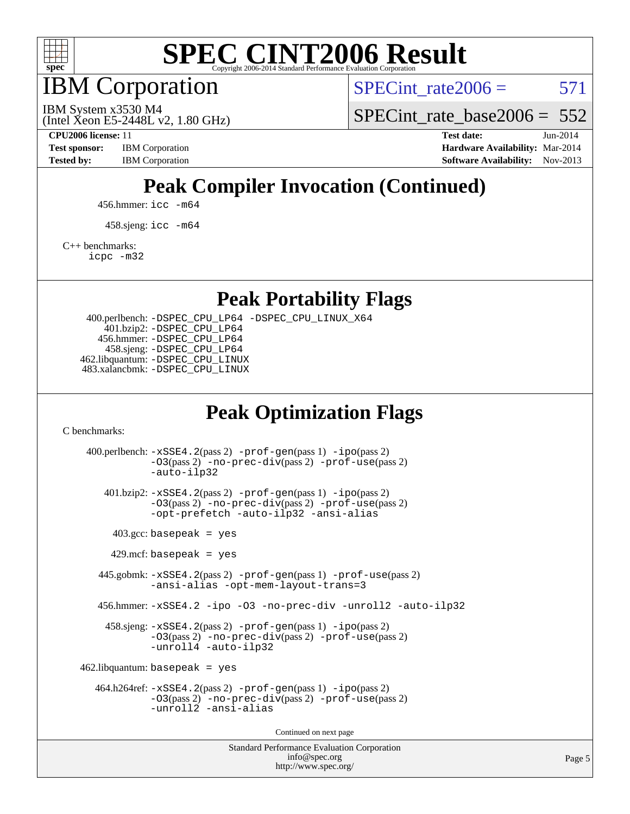

IBM Corporation

SPECint rate $2006 = 571$ 

(Intel Xeon E5-2448L v2, 1.80 GHz) IBM System x3530 M4

SPECint rate base  $2006 = 552$ 

**[CPU2006 license:](http://www.spec.org/auto/cpu2006/Docs/result-fields.html#CPU2006license)** 11 **[Test date:](http://www.spec.org/auto/cpu2006/Docs/result-fields.html#Testdate)** Jun-2014 **[Test sponsor:](http://www.spec.org/auto/cpu2006/Docs/result-fields.html#Testsponsor)** IBM Corporation **[Hardware Availability:](http://www.spec.org/auto/cpu2006/Docs/result-fields.html#HardwareAvailability)** Mar-2014 **[Tested by:](http://www.spec.org/auto/cpu2006/Docs/result-fields.html#Testedby)** IBM Corporation **IBM** Corporation **[Software Availability:](http://www.spec.org/auto/cpu2006/Docs/result-fields.html#SoftwareAvailability)** Nov-2013

## **[Peak Compiler Invocation \(Continued\)](http://www.spec.org/auto/cpu2006/Docs/result-fields.html#PeakCompilerInvocation)**

456.hmmer: [icc -m64](http://www.spec.org/cpu2006/results/res2014q3/cpu2006-20140702-30288.flags.html#user_peakCCLD456_hmmer_intel_icc_64bit_bda6cc9af1fdbb0edc3795bac97ada53)

458.sjeng: [icc -m64](http://www.spec.org/cpu2006/results/res2014q3/cpu2006-20140702-30288.flags.html#user_peakCCLD458_sjeng_intel_icc_64bit_bda6cc9af1fdbb0edc3795bac97ada53)

[C++ benchmarks:](http://www.spec.org/auto/cpu2006/Docs/result-fields.html#CXXbenchmarks)

[icpc -m32](http://www.spec.org/cpu2006/results/res2014q3/cpu2006-20140702-30288.flags.html#user_CXXpeak_intel_icpc_4e5a5ef1a53fd332b3c49e69c3330699)

**[Peak Portability Flags](http://www.spec.org/auto/cpu2006/Docs/result-fields.html#PeakPortabilityFlags)**

 400.perlbench: [-DSPEC\\_CPU\\_LP64](http://www.spec.org/cpu2006/results/res2014q3/cpu2006-20140702-30288.flags.html#b400.perlbench_peakCPORTABILITY_DSPEC_CPU_LP64) [-DSPEC\\_CPU\\_LINUX\\_X64](http://www.spec.org/cpu2006/results/res2014q3/cpu2006-20140702-30288.flags.html#b400.perlbench_peakCPORTABILITY_DSPEC_CPU_LINUX_X64) 401.bzip2: [-DSPEC\\_CPU\\_LP64](http://www.spec.org/cpu2006/results/res2014q3/cpu2006-20140702-30288.flags.html#suite_peakCPORTABILITY401_bzip2_DSPEC_CPU_LP64) 456.hmmer: [-DSPEC\\_CPU\\_LP64](http://www.spec.org/cpu2006/results/res2014q3/cpu2006-20140702-30288.flags.html#suite_peakCPORTABILITY456_hmmer_DSPEC_CPU_LP64) 458.sjeng: [-DSPEC\\_CPU\\_LP64](http://www.spec.org/cpu2006/results/res2014q3/cpu2006-20140702-30288.flags.html#suite_peakCPORTABILITY458_sjeng_DSPEC_CPU_LP64) 462.libquantum: [-DSPEC\\_CPU\\_LINUX](http://www.spec.org/cpu2006/results/res2014q3/cpu2006-20140702-30288.flags.html#b462.libquantum_peakCPORTABILITY_DSPEC_CPU_LINUX) 483.xalancbmk: [-DSPEC\\_CPU\\_LINUX](http://www.spec.org/cpu2006/results/res2014q3/cpu2006-20140702-30288.flags.html#b483.xalancbmk_peakCXXPORTABILITY_DSPEC_CPU_LINUX)

### **[Peak Optimization Flags](http://www.spec.org/auto/cpu2006/Docs/result-fields.html#PeakOptimizationFlags)**

[C benchmarks](http://www.spec.org/auto/cpu2006/Docs/result-fields.html#Cbenchmarks):

Standard Performance Evaluation Corporation 400.perlbench: [-xSSE4.2](http://www.spec.org/cpu2006/results/res2014q3/cpu2006-20140702-30288.flags.html#user_peakPASS2_CFLAGSPASS2_LDCFLAGS400_perlbench_f-xSSE42_f91528193cf0b216347adb8b939d4107)(pass 2) [-prof-gen](http://www.spec.org/cpu2006/results/res2014q3/cpu2006-20140702-30288.flags.html#user_peakPASS1_CFLAGSPASS1_LDCFLAGS400_perlbench_prof_gen_e43856698f6ca7b7e442dfd80e94a8fc)(pass 1) [-ipo](http://www.spec.org/cpu2006/results/res2014q3/cpu2006-20140702-30288.flags.html#user_peakPASS2_CFLAGSPASS2_LDCFLAGS400_perlbench_f-ipo)(pass 2) [-O3](http://www.spec.org/cpu2006/results/res2014q3/cpu2006-20140702-30288.flags.html#user_peakPASS2_CFLAGSPASS2_LDCFLAGS400_perlbench_f-O3)(pass 2) [-no-prec-div](http://www.spec.org/cpu2006/results/res2014q3/cpu2006-20140702-30288.flags.html#user_peakPASS2_CFLAGSPASS2_LDCFLAGS400_perlbench_f-no-prec-div)(pass 2) [-prof-use](http://www.spec.org/cpu2006/results/res2014q3/cpu2006-20140702-30288.flags.html#user_peakPASS2_CFLAGSPASS2_LDCFLAGS400_perlbench_prof_use_bccf7792157ff70d64e32fe3e1250b55)(pass 2) [-auto-ilp32](http://www.spec.org/cpu2006/results/res2014q3/cpu2006-20140702-30288.flags.html#user_peakCOPTIMIZE400_perlbench_f-auto-ilp32) 401.bzip2: [-xSSE4.2](http://www.spec.org/cpu2006/results/res2014q3/cpu2006-20140702-30288.flags.html#user_peakPASS2_CFLAGSPASS2_LDCFLAGS401_bzip2_f-xSSE42_f91528193cf0b216347adb8b939d4107)(pass 2) [-prof-gen](http://www.spec.org/cpu2006/results/res2014q3/cpu2006-20140702-30288.flags.html#user_peakPASS1_CFLAGSPASS1_LDCFLAGS401_bzip2_prof_gen_e43856698f6ca7b7e442dfd80e94a8fc)(pass 1) [-ipo](http://www.spec.org/cpu2006/results/res2014q3/cpu2006-20140702-30288.flags.html#user_peakPASS2_CFLAGSPASS2_LDCFLAGS401_bzip2_f-ipo)(pass 2) [-O3](http://www.spec.org/cpu2006/results/res2014q3/cpu2006-20140702-30288.flags.html#user_peakPASS2_CFLAGSPASS2_LDCFLAGS401_bzip2_f-O3)(pass 2) [-no-prec-div](http://www.spec.org/cpu2006/results/res2014q3/cpu2006-20140702-30288.flags.html#user_peakPASS2_CFLAGSPASS2_LDCFLAGS401_bzip2_f-no-prec-div)(pass 2) [-prof-use](http://www.spec.org/cpu2006/results/res2014q3/cpu2006-20140702-30288.flags.html#user_peakPASS2_CFLAGSPASS2_LDCFLAGS401_bzip2_prof_use_bccf7792157ff70d64e32fe3e1250b55)(pass 2) [-opt-prefetch](http://www.spec.org/cpu2006/results/res2014q3/cpu2006-20140702-30288.flags.html#user_peakCOPTIMIZE401_bzip2_f-opt-prefetch) [-auto-ilp32](http://www.spec.org/cpu2006/results/res2014q3/cpu2006-20140702-30288.flags.html#user_peakCOPTIMIZE401_bzip2_f-auto-ilp32) [-ansi-alias](http://www.spec.org/cpu2006/results/res2014q3/cpu2006-20140702-30288.flags.html#user_peakCOPTIMIZE401_bzip2_f-ansi-alias)  $403.\text{gcc: basepeak}$  = yes  $429$ .mcf: basepeak = yes 445.gobmk: [-xSSE4.2](http://www.spec.org/cpu2006/results/res2014q3/cpu2006-20140702-30288.flags.html#user_peakPASS2_CFLAGSPASS2_LDCFLAGS445_gobmk_f-xSSE42_f91528193cf0b216347adb8b939d4107)(pass 2) [-prof-gen](http://www.spec.org/cpu2006/results/res2014q3/cpu2006-20140702-30288.flags.html#user_peakPASS1_CFLAGSPASS1_LDCFLAGS445_gobmk_prof_gen_e43856698f6ca7b7e442dfd80e94a8fc)(pass 1) [-prof-use](http://www.spec.org/cpu2006/results/res2014q3/cpu2006-20140702-30288.flags.html#user_peakPASS2_CFLAGSPASS2_LDCFLAGS445_gobmk_prof_use_bccf7792157ff70d64e32fe3e1250b55)(pass 2) [-ansi-alias](http://www.spec.org/cpu2006/results/res2014q3/cpu2006-20140702-30288.flags.html#user_peakCOPTIMIZE445_gobmk_f-ansi-alias) [-opt-mem-layout-trans=3](http://www.spec.org/cpu2006/results/res2014q3/cpu2006-20140702-30288.flags.html#user_peakCOPTIMIZE445_gobmk_f-opt-mem-layout-trans_a7b82ad4bd7abf52556d4961a2ae94d5) 456.hmmer: [-xSSE4.2](http://www.spec.org/cpu2006/results/res2014q3/cpu2006-20140702-30288.flags.html#user_peakCOPTIMIZE456_hmmer_f-xSSE42_f91528193cf0b216347adb8b939d4107) [-ipo](http://www.spec.org/cpu2006/results/res2014q3/cpu2006-20140702-30288.flags.html#user_peakCOPTIMIZE456_hmmer_f-ipo) [-O3](http://www.spec.org/cpu2006/results/res2014q3/cpu2006-20140702-30288.flags.html#user_peakCOPTIMIZE456_hmmer_f-O3) [-no-prec-div](http://www.spec.org/cpu2006/results/res2014q3/cpu2006-20140702-30288.flags.html#user_peakCOPTIMIZE456_hmmer_f-no-prec-div) [-unroll2](http://www.spec.org/cpu2006/results/res2014q3/cpu2006-20140702-30288.flags.html#user_peakCOPTIMIZE456_hmmer_f-unroll_784dae83bebfb236979b41d2422d7ec2) [-auto-ilp32](http://www.spec.org/cpu2006/results/res2014q3/cpu2006-20140702-30288.flags.html#user_peakCOPTIMIZE456_hmmer_f-auto-ilp32) 458.sjeng: [-xSSE4.2](http://www.spec.org/cpu2006/results/res2014q3/cpu2006-20140702-30288.flags.html#user_peakPASS2_CFLAGSPASS2_LDCFLAGS458_sjeng_f-xSSE42_f91528193cf0b216347adb8b939d4107)(pass 2) [-prof-gen](http://www.spec.org/cpu2006/results/res2014q3/cpu2006-20140702-30288.flags.html#user_peakPASS1_CFLAGSPASS1_LDCFLAGS458_sjeng_prof_gen_e43856698f6ca7b7e442dfd80e94a8fc)(pass 1) [-ipo](http://www.spec.org/cpu2006/results/res2014q3/cpu2006-20140702-30288.flags.html#user_peakPASS2_CFLAGSPASS2_LDCFLAGS458_sjeng_f-ipo)(pass 2) [-O3](http://www.spec.org/cpu2006/results/res2014q3/cpu2006-20140702-30288.flags.html#user_peakPASS2_CFLAGSPASS2_LDCFLAGS458_sjeng_f-O3)(pass 2) [-no-prec-div](http://www.spec.org/cpu2006/results/res2014q3/cpu2006-20140702-30288.flags.html#user_peakPASS2_CFLAGSPASS2_LDCFLAGS458_sjeng_f-no-prec-div)(pass 2) [-prof-use](http://www.spec.org/cpu2006/results/res2014q3/cpu2006-20140702-30288.flags.html#user_peakPASS2_CFLAGSPASS2_LDCFLAGS458_sjeng_prof_use_bccf7792157ff70d64e32fe3e1250b55)(pass 2) [-unroll4](http://www.spec.org/cpu2006/results/res2014q3/cpu2006-20140702-30288.flags.html#user_peakCOPTIMIZE458_sjeng_f-unroll_4e5e4ed65b7fd20bdcd365bec371b81f) [-auto-ilp32](http://www.spec.org/cpu2006/results/res2014q3/cpu2006-20140702-30288.flags.html#user_peakCOPTIMIZE458_sjeng_f-auto-ilp32)  $462$ .libquantum: basepeak = yes 464.h264ref: [-xSSE4.2](http://www.spec.org/cpu2006/results/res2014q3/cpu2006-20140702-30288.flags.html#user_peakPASS2_CFLAGSPASS2_LDCFLAGS464_h264ref_f-xSSE42_f91528193cf0b216347adb8b939d4107)(pass 2) [-prof-gen](http://www.spec.org/cpu2006/results/res2014q3/cpu2006-20140702-30288.flags.html#user_peakPASS1_CFLAGSPASS1_LDCFLAGS464_h264ref_prof_gen_e43856698f6ca7b7e442dfd80e94a8fc)(pass 1) [-ipo](http://www.spec.org/cpu2006/results/res2014q3/cpu2006-20140702-30288.flags.html#user_peakPASS2_CFLAGSPASS2_LDCFLAGS464_h264ref_f-ipo)(pass 2) [-O3](http://www.spec.org/cpu2006/results/res2014q3/cpu2006-20140702-30288.flags.html#user_peakPASS2_CFLAGSPASS2_LDCFLAGS464_h264ref_f-O3)(pass 2) [-no-prec-div](http://www.spec.org/cpu2006/results/res2014q3/cpu2006-20140702-30288.flags.html#user_peakPASS2_CFLAGSPASS2_LDCFLAGS464_h264ref_f-no-prec-div)(pass 2) [-prof-use](http://www.spec.org/cpu2006/results/res2014q3/cpu2006-20140702-30288.flags.html#user_peakPASS2_CFLAGSPASS2_LDCFLAGS464_h264ref_prof_use_bccf7792157ff70d64e32fe3e1250b55)(pass 2) [-unroll2](http://www.spec.org/cpu2006/results/res2014q3/cpu2006-20140702-30288.flags.html#user_peakCOPTIMIZE464_h264ref_f-unroll_784dae83bebfb236979b41d2422d7ec2) [-ansi-alias](http://www.spec.org/cpu2006/results/res2014q3/cpu2006-20140702-30288.flags.html#user_peakCOPTIMIZE464_h264ref_f-ansi-alias) Continued on next page

[info@spec.org](mailto:info@spec.org) <http://www.spec.org/>